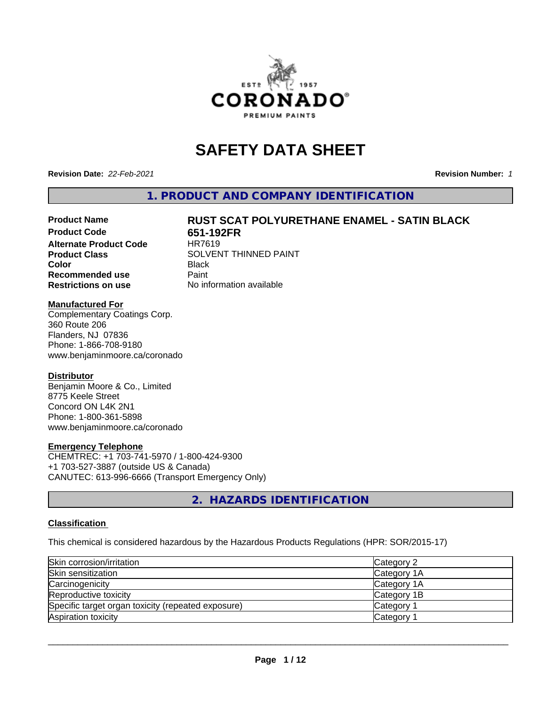

# **SAFETY DATA SHEET**

**Revision Date:** *22-Feb-2021* **Revision Number:** *1*

**1. PRODUCT AND COMPANY IDENTIFICATION**

# Product Name **RUST SCAT POLYURETHANE ENAMEL - SATIN BLACK**<br>Product Code 651-192FR

**Alternate Product Code Recommended use** Paint **Restrictions on use** No information available

**651-192FR**<br>HR7619 **Product Class** SOLVENT THINNED PAINT **Color** Black

#### **Manufactured For**

Complementary Coatings Corp. 360 Route 206 Flanders, NJ 07836 Phone: 1-866-708-9180 www.benjaminmoore.ca/coronado

#### **Distributor**

Benjamin Moore & Co., Limited 8775 Keele Street Concord ON L4K 2N1 Phone: 1-800-361-5898 www.benjaminmoore.ca/coronado

#### **Emergency Telephone**

CHEMTREC: +1 703-741-5970 / 1-800-424-9300 +1 703-527-3887 (outside US & Canada) CANUTEC: 613-996-6666 (Transport Emergency Only)

**2. HAZARDS IDENTIFICATION**

#### **Classification**

This chemical is considered hazardous by the Hazardous Products Regulations (HPR: SOR/2015-17)

| Skin corrosion/irritation                          | Category 2            |
|----------------------------------------------------|-----------------------|
| Skin sensitization                                 | Category 1A           |
| Carcinogenicity                                    | Category 1A           |
| Reproductive toxicity                              | Category 1B           |
| Specific target organ toxicity (repeated exposure) | Category <sup>2</sup> |
| Aspiration toxicity                                | Category              |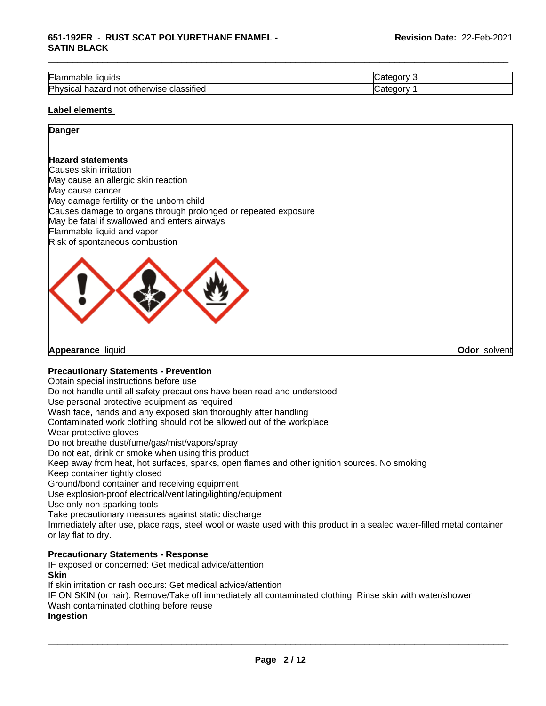#### **651-192FR** - **RUST SCAT POLYURETHANE ENAMEL - SATIN BLACK**

| --<br>.,<br>` liauids<br>Flar<br>Table                                 | $-$<br>-16 |
|------------------------------------------------------------------------|------------|
| .<br>Physica<br>hazard<br>classified<br>herwise<br>not<br>otł<br>Sital | 10         |

\_\_\_\_\_\_\_\_\_\_\_\_\_\_\_\_\_\_\_\_\_\_\_\_\_\_\_\_\_\_\_\_\_\_\_\_\_\_\_\_\_\_\_\_\_\_\_\_\_\_\_\_\_\_\_\_\_\_\_\_\_\_\_\_\_\_\_\_\_\_\_\_\_\_\_\_\_\_\_\_\_\_\_\_\_\_\_\_\_\_\_\_\_

#### **Label elements**

#### **Danger**

#### **Hazard statements**

Causes skin irritation May cause an allergic skin reaction May cause cancer May damage fertility or the unborn child Causes damage to organs through prolonged or repeated exposure May be fatal if swallowed and enters airways Flammable liquid and vapor Risk of spontaneous combustion



**Appearance** liquid **Odor** solvent

#### **Precautionary Statements - Prevention**

Obtain special instructions before use

Do not handle until all safety precautions have been read and understood

Use personal protective equipment as required

Wash face, hands and any exposed skin thoroughly after handling

Contaminated work clothing should not be allowed out of the workplace

Wear protective gloves

Do not breathe dust/fume/gas/mist/vapors/spray

Do not eat, drink or smoke when using this product

Keep away from heat, hot surfaces, sparks, open flames and other ignition sources. No smoking

Keep container tightly closed

Ground/bond container and receiving equipment

Use explosion-proof electrical/ventilating/lighting/equipment

Use only non-sparking tools

Take precautionary measures against static discharge

Immediately after use, place rags, steel wool or waste used with this product in a sealed water-filled metal container or lay flat to dry.

#### **Precautionary Statements - Response**

IF exposed or concerned: Get medical advice/attention **Skin**

If skin irritation or rash occurs: Get medical advice/attention

IF ON SKIN (or hair): Remove/Take off immediately all contaminated clothing. Rinse skin with water/shower Wash contaminated clothing before reuse

#### **Ingestion**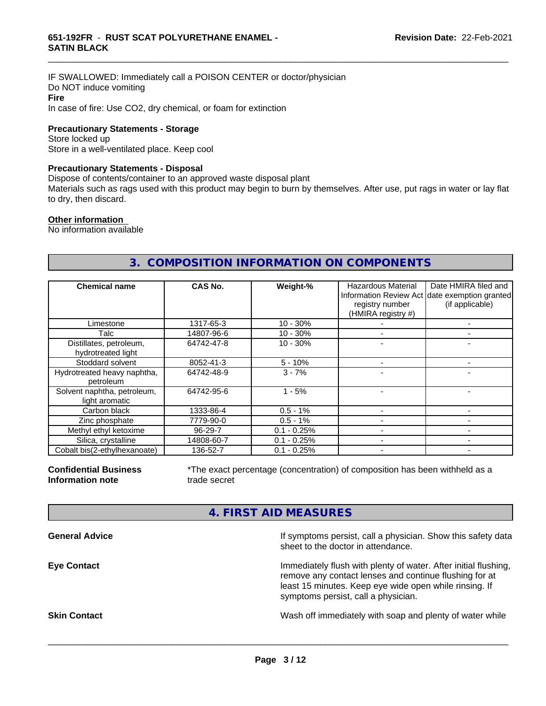IF SWALLOWED: Immediately call a POISON CENTER or doctor/physician Do NOT induce vomiting **Fire** In case of fire: Use CO2, dry chemical, or foam for extinction

**Precautionary Statements - Storage**

Store locked up Store in a well-ventilated place. Keep cool

#### **Precautionary Statements - Disposal**

Dispose of contents/container to an approved waste disposal plant

Materials such as rags used with this product may begin to burn by themselves. After use, put rags in water or lay flat to dry, then discard.

\_\_\_\_\_\_\_\_\_\_\_\_\_\_\_\_\_\_\_\_\_\_\_\_\_\_\_\_\_\_\_\_\_\_\_\_\_\_\_\_\_\_\_\_\_\_\_\_\_\_\_\_\_\_\_\_\_\_\_\_\_\_\_\_\_\_\_\_\_\_\_\_\_\_\_\_\_\_\_\_\_\_\_\_\_\_\_\_\_\_\_\_\_

#### **Other information**

No information available

#### **3. COMPOSITION INFORMATION ON COMPONENTS**

| <b>Chemical name</b>                          | CAS No.       | Weight-%      | Hazardous Material<br>registry number<br>(HMIRA registry #) | Date HMIRA filed and<br>Information Review Act date exemption granted<br>(if applicable) |
|-----------------------------------------------|---------------|---------------|-------------------------------------------------------------|------------------------------------------------------------------------------------------|
| Limestone                                     | 1317-65-3     | $10 - 30%$    |                                                             |                                                                                          |
| Talc                                          | 14807-96-6    | $10 - 30%$    |                                                             |                                                                                          |
| Distillates, petroleum,<br>hydrotreated light | 64742-47-8    | $10 - 30%$    |                                                             |                                                                                          |
| Stoddard solvent                              | 8052-41-3     | $5 - 10%$     |                                                             |                                                                                          |
| Hydrotreated heavy naphtha,<br>petroleum      | 64742-48-9    | $3 - 7%$      |                                                             |                                                                                          |
| Solvent naphtha, petroleum,<br>light aromatic | 64742-95-6    | $1 - 5%$      |                                                             |                                                                                          |
| Carbon black                                  | 1333-86-4     | $0.5 - 1%$    |                                                             |                                                                                          |
| Zinc phosphate                                | 7779-90-0     | $0.5 - 1%$    |                                                             |                                                                                          |
| Methyl ethyl ketoxime                         | $96 - 29 - 7$ | $0.1 - 0.25%$ |                                                             |                                                                                          |
| Silica, crystalline                           | 14808-60-7    | $0.1 - 0.25%$ |                                                             |                                                                                          |
| Cobalt bis(2-ethylhexanoate)                  | 136-52-7      | $0.1 - 0.25%$ |                                                             |                                                                                          |

**Confidential Business Information note**

\*The exact percentage (concentration) of composition has been withheld as a trade secret

#### **4. FIRST AID MEASURES**

| If symptoms persist, call a physician. Show this safety data<br>sheet to the doctor in attendance.                                                                                                                         |
|----------------------------------------------------------------------------------------------------------------------------------------------------------------------------------------------------------------------------|
| Immediately flush with plenty of water. After initial flushing,<br>remove any contact lenses and continue flushing for at<br>least 15 minutes. Keep eye wide open while rinsing. If<br>symptoms persist, call a physician. |
| Wash off immediately with soap and plenty of water while                                                                                                                                                                   |
|                                                                                                                                                                                                                            |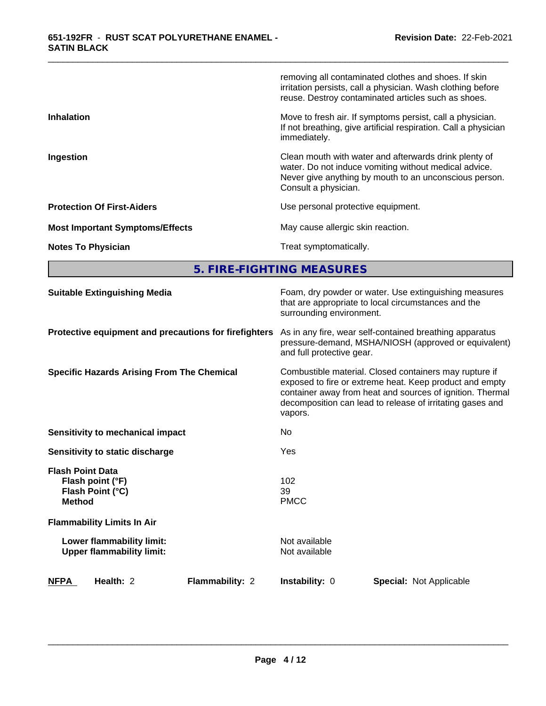|                                        | removing all contaminated clothes and shoes. If skin<br>irritation persists, call a physician. Wash clothing before<br>reuse. Destroy contaminated articles such as shoes.                       |
|----------------------------------------|--------------------------------------------------------------------------------------------------------------------------------------------------------------------------------------------------|
| <b>Inhalation</b>                      | Move to fresh air. If symptoms persist, call a physician.<br>If not breathing, give artificial respiration. Call a physician<br>immediately.                                                     |
| Ingestion                              | Clean mouth with water and afterwards drink plenty of<br>water. Do not induce vomiting without medical advice.<br>Never give anything by mouth to an unconscious person.<br>Consult a physician. |
| <b>Protection Of First-Aiders</b>      | Use personal protective equipment.                                                                                                                                                               |
| <b>Most Important Symptoms/Effects</b> | May cause allergic skin reaction.                                                                                                                                                                |
| <b>Notes To Physician</b>              | Treat symptomatically.                                                                                                                                                                           |

\_\_\_\_\_\_\_\_\_\_\_\_\_\_\_\_\_\_\_\_\_\_\_\_\_\_\_\_\_\_\_\_\_\_\_\_\_\_\_\_\_\_\_\_\_\_\_\_\_\_\_\_\_\_\_\_\_\_\_\_\_\_\_\_\_\_\_\_\_\_\_\_\_\_\_\_\_\_\_\_\_\_\_\_\_\_\_\_\_\_\_\_\_

**5. FIRE-FIGHTING MEASURES**

| <b>Suitable Extinguishing Media</b>                                              | Foam, dry powder or water. Use extinguishing measures<br>that are appropriate to local circumstances and the<br>surrounding environment.                                                                                                               |
|----------------------------------------------------------------------------------|--------------------------------------------------------------------------------------------------------------------------------------------------------------------------------------------------------------------------------------------------------|
| Protective equipment and precautions for firefighters                            | As in any fire, wear self-contained breathing apparatus<br>pressure-demand, MSHA/NIOSH (approved or equivalent)<br>and full protective gear.                                                                                                           |
| <b>Specific Hazards Arising From The Chemical</b>                                | Combustible material. Closed containers may rupture if<br>exposed to fire or extreme heat. Keep product and empty<br>container away from heat and sources of ignition. Thermal<br>decomposition can lead to release of irritating gases and<br>vapors. |
| Sensitivity to mechanical impact                                                 | No                                                                                                                                                                                                                                                     |
| Sensitivity to static discharge                                                  | Yes                                                                                                                                                                                                                                                    |
| <b>Flash Point Data</b><br>Flash point (°F)<br>Flash Point (°C)<br><b>Method</b> | 102<br>39<br><b>PMCC</b>                                                                                                                                                                                                                               |
| <b>Flammability Limits In Air</b>                                                |                                                                                                                                                                                                                                                        |
| Lower flammability limit:<br><b>Upper flammability limit:</b>                    | Not available<br>Not available                                                                                                                                                                                                                         |
| <b>NFPA</b><br>Health: 2<br>Flammability: 2                                      | Instability: 0<br><b>Special: Not Applicable</b>                                                                                                                                                                                                       |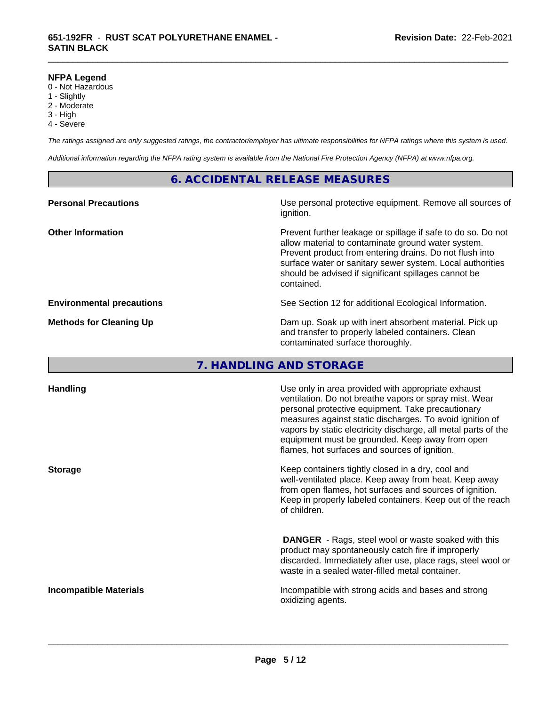#### **NFPA Legend**

- 0 Not Hazardous
- 1 Slightly
- 2 Moderate
- 3 High
- 4 Severe

*The ratings assigned are only suggested ratings, the contractor/employer has ultimate responsibilities for NFPA ratings where this system is used.*

\_\_\_\_\_\_\_\_\_\_\_\_\_\_\_\_\_\_\_\_\_\_\_\_\_\_\_\_\_\_\_\_\_\_\_\_\_\_\_\_\_\_\_\_\_\_\_\_\_\_\_\_\_\_\_\_\_\_\_\_\_\_\_\_\_\_\_\_\_\_\_\_\_\_\_\_\_\_\_\_\_\_\_\_\_\_\_\_\_\_\_\_\_

*Additional information regarding the NFPA rating system is available from the National Fire Protection Agency (NFPA) at www.nfpa.org.*

#### **6. ACCIDENTAL RELEASE MEASURES**

| <b>Personal Precautions</b>      | Use personal protective equipment. Remove all sources of<br>ignition.                                                                                                                                                                                                                                            |
|----------------------------------|------------------------------------------------------------------------------------------------------------------------------------------------------------------------------------------------------------------------------------------------------------------------------------------------------------------|
| <b>Other Information</b>         | Prevent further leakage or spillage if safe to do so. Do not<br>allow material to contaminate ground water system.<br>Prevent product from entering drains. Do not flush into<br>surface water or sanitary sewer system. Local authorities<br>should be advised if significant spillages cannot be<br>contained. |
| <b>Environmental precautions</b> | See Section 12 for additional Ecological Information.                                                                                                                                                                                                                                                            |
| <b>Methods for Cleaning Up</b>   | Dam up. Soak up with inert absorbent material. Pick up<br>and transfer to properly labeled containers. Clean<br>contaminated surface thoroughly.                                                                                                                                                                 |

#### **7. HANDLING AND STORAGE**

| <b>Handling</b>               | Use only in area provided with appropriate exhaust<br>ventilation. Do not breathe vapors or spray mist. Wear<br>personal protective equipment. Take precautionary<br>measures against static discharges. To avoid ignition of<br>vapors by static electricity discharge, all metal parts of the<br>equipment must be grounded. Keep away from open<br>flames, hot surfaces and sources of ignition. |
|-------------------------------|-----------------------------------------------------------------------------------------------------------------------------------------------------------------------------------------------------------------------------------------------------------------------------------------------------------------------------------------------------------------------------------------------------|
| <b>Storage</b>                | Keep containers tightly closed in a dry, cool and<br>well-ventilated place. Keep away from heat. Keep away<br>from open flames, hot surfaces and sources of ignition.<br>Keep in properly labeled containers. Keep out of the reach<br>of children.                                                                                                                                                 |
|                               | <b>DANGER</b> - Rags, steel wool or waste soaked with this<br>product may spontaneously catch fire if improperly<br>discarded. Immediately after use, place rags, steel wool or<br>waste in a sealed water-filled metal container.                                                                                                                                                                  |
| <b>Incompatible Materials</b> | Incompatible with strong acids and bases and strong<br>oxidizing agents.                                                                                                                                                                                                                                                                                                                            |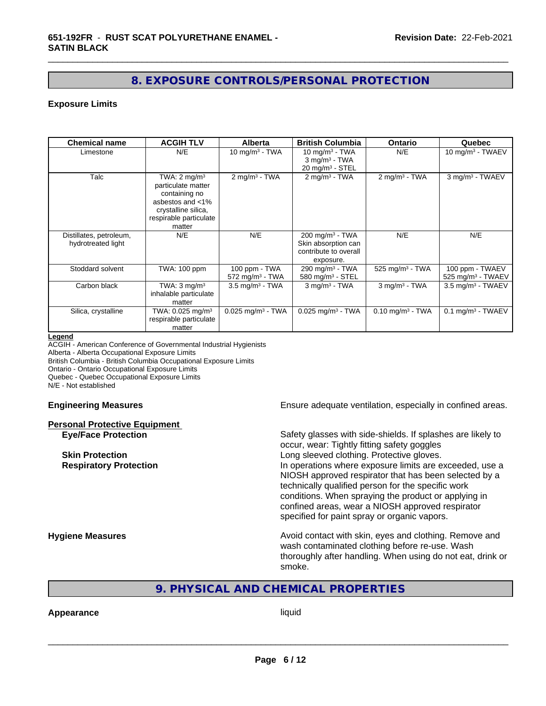#### **8. EXPOSURE CONTROLS/PERSONAL PROTECTION**

\_\_\_\_\_\_\_\_\_\_\_\_\_\_\_\_\_\_\_\_\_\_\_\_\_\_\_\_\_\_\_\_\_\_\_\_\_\_\_\_\_\_\_\_\_\_\_\_\_\_\_\_\_\_\_\_\_\_\_\_\_\_\_\_\_\_\_\_\_\_\_\_\_\_\_\_\_\_\_\_\_\_\_\_\_\_\_\_\_\_\_\_\_

#### **Exposure Limits**

| <b>Chemical name</b>                          | <b>ACGIH TLV</b>                                                                                                                              | <b>Alberta</b>                                 | <b>British Columbia</b>                                                                    | Ontario                        | Quebec                                           |
|-----------------------------------------------|-----------------------------------------------------------------------------------------------------------------------------------------------|------------------------------------------------|--------------------------------------------------------------------------------------------|--------------------------------|--------------------------------------------------|
| Limestone                                     | N/E                                                                                                                                           | 10 mg/m $3$ - TWA                              | 10 mg/m $3$ - TWA<br>$3$ mg/m <sup>3</sup> - TWA<br>$20 \text{ mg/m}^3$ - STEL             | N/E                            | 10 mg/m $3$ - TWAEV                              |
| Talc                                          | TWA: $2 \text{ mg/m}^3$<br>particulate matter<br>containing no<br>asbestos and <1%<br>crystalline silica,<br>respirable particulate<br>matter | $2$ mg/m <sup>3</sup> - TWA                    | $2$ mg/m <sup>3</sup> - TWA                                                                | $2$ mg/m <sup>3</sup> - TWA    | 3 mg/m <sup>3</sup> - TWAEV                      |
| Distillates, petroleum,<br>hydrotreated light | N/E                                                                                                                                           | N/E                                            | $200$ mg/m <sup>3</sup> - TWA<br>Skin absorption can<br>contribute to overall<br>exposure. | N/E                            | N/E                                              |
| Stoddard solvent                              | TWA: 100 ppm                                                                                                                                  | 100 ppm - TWA<br>$572$ mg/m <sup>3</sup> - TWA | 290 mg/m <sup>3</sup> - TWA<br>580 mg/m <sup>3</sup> - STEL                                | 525 mg/m <sup>3</sup> - TWA    | 100 ppm - TWAEV<br>525 mg/m <sup>3</sup> - TWAEV |
| Carbon black                                  | TWA: $3 \text{ mq/m}^3$<br>inhalable particulate<br>matter                                                                                    | $3.5$ mg/m $3$ - TWA                           | $3$ mg/m $3$ - TWA                                                                         | $3$ mg/m $3$ - TWA             | 3.5 mg/m <sup>3</sup> - TWAEV                    |
| Silica, crystalline                           | TWA: 0.025 mg/m <sup>3</sup><br>respirable particulate<br>matter                                                                              | $0.025$ mg/m <sup>3</sup> - TWA                | $0.025$ mg/m <sup>3</sup> - TWA                                                            | $0.10$ mg/m <sup>3</sup> - TWA | $0.1$ mg/m <sup>3</sup> - TWAEV                  |

#### **Legend**

ACGIH - American Conference of Governmental Industrial Hygienists

Alberta - Alberta Occupational Exposure Limits

British Columbia - British Columbia Occupational Exposure Limits

Ontario - Ontario Occupational Exposure Limits

Quebec - Quebec Occupational Exposure Limits

N/E - Not established

## **Personal Protective Equipment**

**Engineering Measures Ensure adequate ventilation, especially in confined areas.** 

**Eye/Face Protection** Safety glasses with side-shields. If splashes are likely to occur, wear: Tightly fitting safety goggles **Skin Protection Skin Protection Skin Protective gloves.** Long sleeved clothing. Protective gloves. **Respiratory Protection In operations where exposure limits are exceeded, use a** local protection NIOSH approved respirator that has been selected by a technically qualified person for the specific work conditions. When spraying the product or applying in confined areas, wear a NIOSH approved respirator specified for paint spray or organic vapors.

**Hygiene Measures Avoid contact with skin, eyes and clothing. Remove and Avoid contact with skin, eyes and clothing. Remove and Avoid contact with skin, eyes and clothing. Remove and** wash contaminated clothing before re-use. Wash thoroughly after handling. When using do not eat, drink or smoke.

#### **9. PHYSICAL AND CHEMICAL PROPERTIES**

#### **Appearance** liquid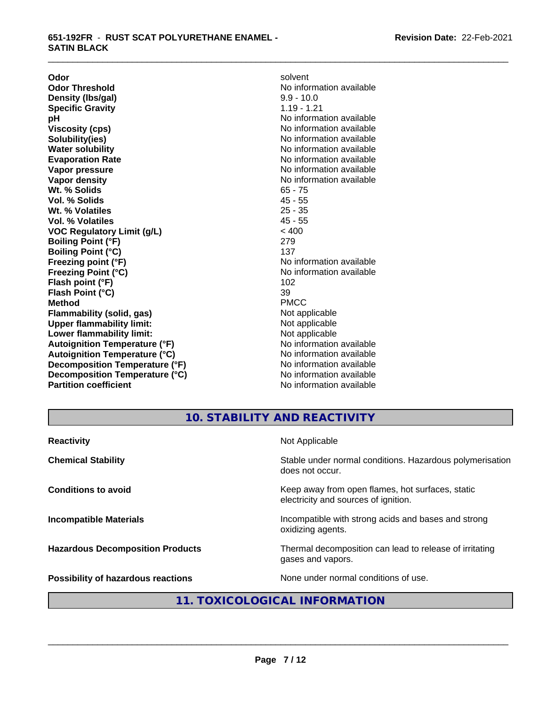**Odor** solvent **Odor Threshold**<br> **Density (Ibs/gal)**<br> **Density (Ibs/gal)**<br> **No information available**<br>  $9.9 - 10.0$ **Density (Ibs/gal)** 9.9 - 10.0<br> **Specific Gravity** 3.19 - 1.21 **Specific Gravity pH** No information available **Viscosity (cps)** No information available **Solubility(ies)** No information available **Evaporation Rate No information available No information available Vapor pressure** No information available in the North American Mondo available in the North American American American American American American American American American American American American American American Ame **Vapor density No information available No information available Wt. % Solids** 65 - 75 **Vol. % Solids** 45 - 55<br> **Wt. % Volatiles** 25 - 35 **Wt. % Volatiles** 25 - 35<br> **Vol. % Volatiles** 25 - 35 **Vol. % Volatiles VOC Regulatory Limit (g/L)** < 400 **Boiling Point (°F)** 279 **Boiling Point (°C)** 137 **Freezing point (°F)** No information available **Freezing Point (°C)** No information available **Flash point (°F)** 102 **Flash Point (°C)** 39 **Method** PMCC **Flammability (solid, gas)**<br> **Commability limit:**<br>
Upper flammability limit:<br>
Not applicable **Upper flammability limit:**<br> **Lower flammability limit:**<br>
Not applicable<br>
Not applicable **Lower flammability limit:**<br> **Autoignition Temperature (°F)** Not applicable available **Autoignition Temperature (°F)**<br> **Autoignition Temperature (°C)** No information available **Autoignition Temperature (°C) Decomposition Temperature (°F)** No information available **Decomposition Temperature (°C)** No information available **Partition coefficient Contract Community No information available** 

**No information available** 

\_\_\_\_\_\_\_\_\_\_\_\_\_\_\_\_\_\_\_\_\_\_\_\_\_\_\_\_\_\_\_\_\_\_\_\_\_\_\_\_\_\_\_\_\_\_\_\_\_\_\_\_\_\_\_\_\_\_\_\_\_\_\_\_\_\_\_\_\_\_\_\_\_\_\_\_\_\_\_\_\_\_\_\_\_\_\_\_\_\_\_\_\_

**10. STABILITY AND REACTIVITY**

| <b>Reactivity</b>                         | Not Applicable                                                                           |
|-------------------------------------------|------------------------------------------------------------------------------------------|
| <b>Chemical Stability</b>                 | Stable under normal conditions. Hazardous polymerisation<br>does not occur.              |
| <b>Conditions to avoid</b>                | Keep away from open flames, hot surfaces, static<br>electricity and sources of ignition. |
| <b>Incompatible Materials</b>             | Incompatible with strong acids and bases and strong<br>oxidizing agents.                 |
| <b>Hazardous Decomposition Products</b>   | Thermal decomposition can lead to release of irritating<br>gases and vapors.             |
| <b>Possibility of hazardous reactions</b> | None under normal conditions of use.                                                     |

#### **11. TOXICOLOGICAL INFORMATION**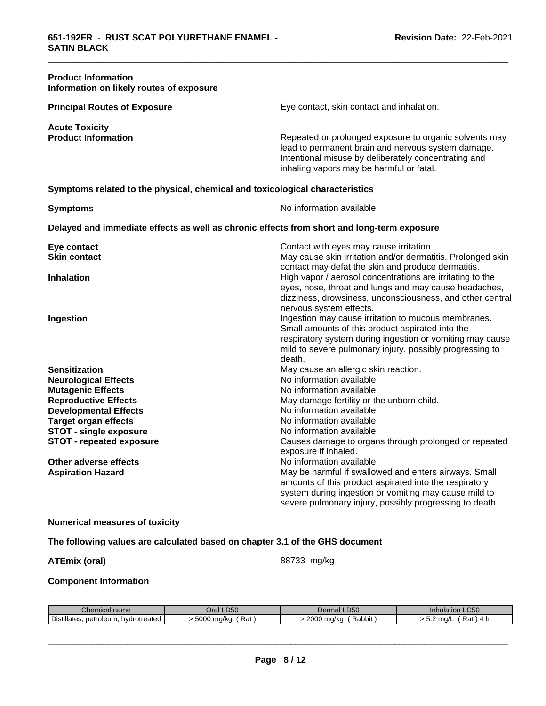| <b>Product Information</b><br>Information on likely routes of exposure                                                                                                                                                                            |                                                                                                                                                                                                                                                                                                                     |
|---------------------------------------------------------------------------------------------------------------------------------------------------------------------------------------------------------------------------------------------------|---------------------------------------------------------------------------------------------------------------------------------------------------------------------------------------------------------------------------------------------------------------------------------------------------------------------|
| <b>Principal Routes of Exposure</b>                                                                                                                                                                                                               | Eye contact, skin contact and inhalation.                                                                                                                                                                                                                                                                           |
| <b>Acute Toxicity</b><br><b>Product Information</b>                                                                                                                                                                                               | Repeated or prolonged exposure to organic solvents may<br>lead to permanent brain and nervous system damage.<br>Intentional misuse by deliberately concentrating and<br>inhaling vapors may be harmful or fatal.                                                                                                    |
| Symptoms related to the physical, chemical and toxicological characteristics                                                                                                                                                                      |                                                                                                                                                                                                                                                                                                                     |
| <b>Symptoms</b>                                                                                                                                                                                                                                   | No information available                                                                                                                                                                                                                                                                                            |
| Delayed and immediate effects as well as chronic effects from short and long-term exposure                                                                                                                                                        |                                                                                                                                                                                                                                                                                                                     |
| Eye contact<br><b>Skin contact</b>                                                                                                                                                                                                                | Contact with eyes may cause irritation.<br>May cause skin irritation and/or dermatitis. Prolonged skin<br>contact may defat the skin and produce dermatitis.                                                                                                                                                        |
| <b>Inhalation</b>                                                                                                                                                                                                                                 | High vapor / aerosol concentrations are irritating to the<br>eyes, nose, throat and lungs and may cause headaches,<br>dizziness, drowsiness, unconsciousness, and other central<br>nervous system effects.                                                                                                          |
| Ingestion                                                                                                                                                                                                                                         | Ingestion may cause irritation to mucous membranes.<br>Small amounts of this product aspirated into the<br>respiratory system during ingestion or vomiting may cause<br>mild to severe pulmonary injury, possibly progressing to<br>death.                                                                          |
| <b>Sensitization</b><br><b>Neurological Effects</b><br><b>Mutagenic Effects</b><br><b>Reproductive Effects</b><br><b>Developmental Effects</b><br><b>Target organ effects</b><br><b>STOT - single exposure</b><br><b>STOT - repeated exposure</b> | May cause an allergic skin reaction.<br>No information available.<br>No information available.<br>May damage fertility or the unborn child.<br>No information available.<br>No information available.<br>No information available.<br>Causes damage to organs through prolonged or repeated<br>exposure if inhaled. |
| Other adverse effects<br><b>Aspiration Hazard</b>                                                                                                                                                                                                 | No information available.<br>May be harmful if swallowed and enters airways. Small<br>amounts of this product aspirated into the respiratory<br>system during ingestion or vomiting may cause mild to<br>severe pulmonary injury, possibly progressing to death.                                                    |
| <b>Numerical measures of toxicity</b>                                                                                                                                                                                                             |                                                                                                                                                                                                                                                                                                                     |
| The following values are calculated based on chapter 3.1 of the GHS document                                                                                                                                                                      |                                                                                                                                                                                                                                                                                                                     |

\_\_\_\_\_\_\_\_\_\_\_\_\_\_\_\_\_\_\_\_\_\_\_\_\_\_\_\_\_\_\_\_\_\_\_\_\_\_\_\_\_\_\_\_\_\_\_\_\_\_\_\_\_\_\_\_\_\_\_\_\_\_\_\_\_\_\_\_\_\_\_\_\_\_\_\_\_\_\_\_\_\_\_\_\_\_\_\_\_\_\_\_\_

### ATEmix (oral) **ATEmix** (oral)

 $\overline{\phantom{a}}$  ,  $\overline{\phantom{a}}$  ,  $\overline{\phantom{a}}$  ,  $\overline{\phantom{a}}$  ,  $\overline{\phantom{a}}$  ,  $\overline{\phantom{a}}$  ,  $\overline{\phantom{a}}$  ,  $\overline{\phantom{a}}$  ,  $\overline{\phantom{a}}$  ,  $\overline{\phantom{a}}$  ,  $\overline{\phantom{a}}$  ,  $\overline{\phantom{a}}$  ,  $\overline{\phantom{a}}$  ,  $\overline{\phantom{a}}$  ,  $\overline{\phantom{a}}$  ,  $\overline{\phantom{a}}$ 

#### **Component Information**

| $\sim$<br>l name                              | <b>_D50</b><br>лаг                     | ~~~<br>LDOU<br>Ша       | $\sim$ $\sim$ $\sim$<br>ation<br>LUUU |
|-----------------------------------------------|----------------------------------------|-------------------------|---------------------------------------|
| . hvdrotreated<br>petroleum.<br>'‼ates<br>υıs | . ENNC<br>-<br>Rat<br>, ma/ka<br>่งบบบ | 2000<br>ma/ka<br>Rabbit | ma/<br>ື້<br>nai.<br>◡.<br>. .        |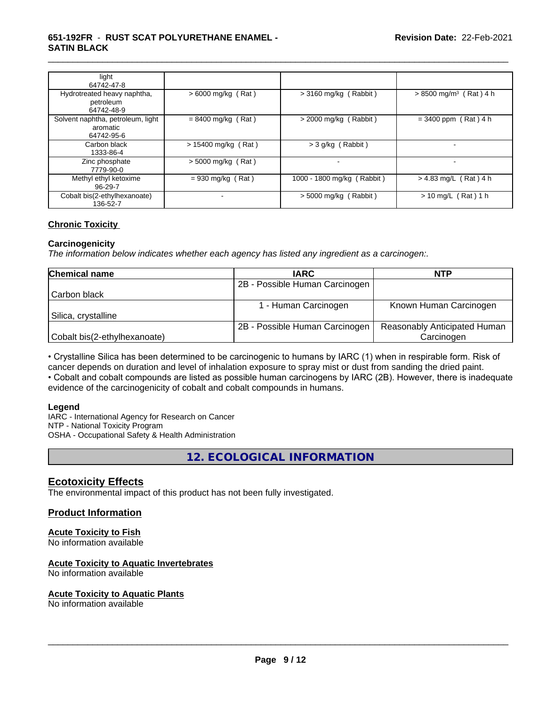#### **651-192FR** - **RUST SCAT POLYURETHANE ENAMEL - SATIN BLACK**

| light<br>64742-47-8                                         |                       |                            |                                      |
|-------------------------------------------------------------|-----------------------|----------------------------|--------------------------------------|
| Hydrotreated heavy naphtha,<br>petroleum<br>64742-48-9      | $> 6000$ mg/kg (Rat)  | $>$ 3160 mg/kg (Rabbit)    | $> 8500$ mg/m <sup>3</sup> (Rat) 4 h |
| Solvent naphtha, petroleum, light<br>aromatic<br>64742-95-6 | $= 8400$ mg/kg (Rat)  | $>$ 2000 mg/kg (Rabbit)    | $= 3400$ ppm (Rat) 4 h               |
| Carbon black<br>1333-86-4                                   | $> 15400$ mg/kg (Rat) | $>$ 3 g/kg (Rabbit)        | $\overline{\phantom{a}}$             |
| Zinc phosphate<br>7779-90-0                                 | $>$ 5000 mg/kg (Rat)  |                            |                                      |
| Methyl ethyl ketoxime<br>$96 - 29 - 7$                      | $= 930$ mg/kg (Rat)   | 1000 - 1800 mg/kg (Rabbit) | $> 4.83$ mg/L (Rat) 4 h              |
| Cobalt bis(2-ethylhexanoate)<br>136-52-7                    |                       | $> 5000$ mg/kg (Rabbit)    | $> 10$ mg/L (Rat) 1 h                |

\_\_\_\_\_\_\_\_\_\_\_\_\_\_\_\_\_\_\_\_\_\_\_\_\_\_\_\_\_\_\_\_\_\_\_\_\_\_\_\_\_\_\_\_\_\_\_\_\_\_\_\_\_\_\_\_\_\_\_\_\_\_\_\_\_\_\_\_\_\_\_\_\_\_\_\_\_\_\_\_\_\_\_\_\_\_\_\_\_\_\_\_\_

#### **Chronic Toxicity**

#### **Carcinogenicity**

*The information below indicateswhether each agency has listed any ingredient as a carcinogen:.*

| <b>Chemical name</b>         | <b>IARC</b>                    | <b>NTP</b>                          |
|------------------------------|--------------------------------|-------------------------------------|
|                              | 2B - Possible Human Carcinogen |                                     |
| Carbon black                 |                                |                                     |
|                              | I - Human Carcinogen           | Known Human Carcinogen              |
| Silica, crystalline          |                                |                                     |
|                              | 2B - Possible Human Carcinogen | <b>Reasonably Anticipated Human</b> |
| Cobalt bis(2-ethylhexanoate) |                                | Carcinogen                          |

• Crystalline Silica has been determined to be carcinogenic to humans by IARC (1) when in respirable form. Risk of cancer depends on duration and level of inhalation exposure to spray mist or dust from sanding the dried paint.

• Cobalt and cobalt compounds are listed as possible human carcinogens by IARC (2B). However, there is inadequate evidence of the carcinogenicity of cobalt and cobalt compounds in humans.

#### **Legend**

IARC - International Agency for Research on Cancer NTP - National Toxicity Program OSHA - Occupational Safety & Health Administration

**12. ECOLOGICAL INFORMATION**

#### **Ecotoxicity Effects**

The environmental impact of this product has not been fully investigated.

#### **Product Information**

#### **Acute Toxicity to Fish**

No information available

#### **Acute Toxicity to Aquatic Invertebrates**

No information available

#### **Acute Toxicity to Aquatic Plants**

No information available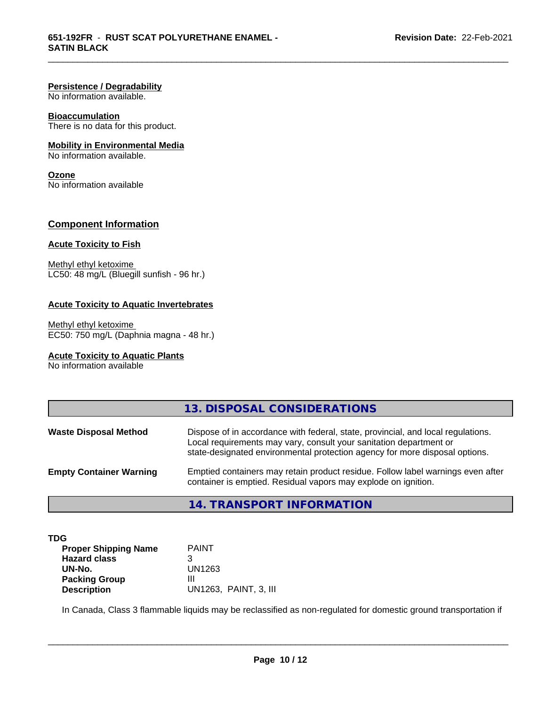#### **Persistence / Degradability**

No information available.

#### **Bioaccumulation**

There is no data for this product.

#### **Mobility in Environmental Media**

No information available.

#### **Ozone**

No information available

#### **Component Information**

#### **Acute Toxicity to Fish**

Methyl ethyl ketoxime LC50: 48 mg/L (Bluegill sunfish - 96 hr.)

#### **Acute Toxicity to Aquatic Invertebrates**

Methyl ethyl ketoxime EC50: 750 mg/L (Daphnia magna - 48 hr.)

#### **Acute Toxicity to Aquatic Plants**

No information available

|                                | 13. DISPOSAL CONSIDERATIONS                                                                                                                                                                                                           |
|--------------------------------|---------------------------------------------------------------------------------------------------------------------------------------------------------------------------------------------------------------------------------------|
| <b>Waste Disposal Method</b>   | Dispose of in accordance with federal, state, provincial, and local regulations.<br>Local requirements may vary, consult your sanitation department or<br>state-designated environmental protection agency for more disposal options. |
| <b>Empty Container Warning</b> | Emptied containers may retain product residue. Follow label warnings even after<br>container is emptied. Residual vapors may explode on ignition.                                                                                     |
|                                | TD ANICDODT INIFODIAATIONI<br>$\overline{A}$                                                                                                                                                                                          |

\_\_\_\_\_\_\_\_\_\_\_\_\_\_\_\_\_\_\_\_\_\_\_\_\_\_\_\_\_\_\_\_\_\_\_\_\_\_\_\_\_\_\_\_\_\_\_\_\_\_\_\_\_\_\_\_\_\_\_\_\_\_\_\_\_\_\_\_\_\_\_\_\_\_\_\_\_\_\_\_\_\_\_\_\_\_\_\_\_\_\_\_\_

#### **14. TRANSPORT INFORMATION**

| TDG                         |              |
|-----------------------------|--------------|
| <b>Proper Shipping Name</b> | <b>PAINT</b> |
| <b>Hazard class</b>         |              |
| UN-No.                      | UN1263       |
| <b>Packing Group</b>        |              |

**UN-No.** UN1263 **Description** UN1263, PAINT, 3, III

In Canada, Class 3 flammable liquids may be reclassified as non-regulated for domestic ground transportation if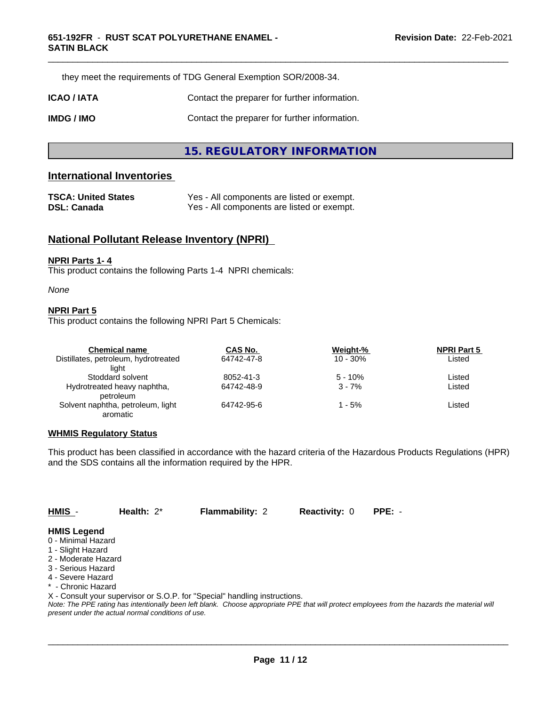they meet the requirements of TDG General Exemption SOR/2008-34.

| ICAO / IATA | Contact the preparer for further information. |
|-------------|-----------------------------------------------|
|             |                                               |

**IMDG / IMO** Contact the preparer for further information.

#### **15. REGULATORY INFORMATION**

#### **International Inventories**

| <b>TSCA: United States</b> | Yes - All components are listed or exempt. |
|----------------------------|--------------------------------------------|
| <b>DSL: Canada</b>         | Yes - All components are listed or exempt. |

#### **National Pollutant Release Inventory (NPRI)**

#### **NPRI Parts 1- 4**

This product contains the following Parts 1-4 NPRI chemicals:

#### *None*

#### **NPRI Part 5**

This product contains the following NPRI Part 5 Chemicals:

| <b>Chemical name</b>                 | CAS No.    | Weight-%    | <b>NPRI Part 5</b> |  |
|--------------------------------------|------------|-------------|--------------------|--|
| Distillates, petroleum, hydrotreated | 64742-47-8 | $10 - 30\%$ | Listed             |  |
| liaht                                |            |             |                    |  |
| Stoddard solvent                     | 8052-41-3  | $5 - 10%$   | Listed             |  |
| Hydrotreated heavy naphtha,          | 64742-48-9 | $3 - 7%$    | Listed             |  |
| petroleum                            |            |             |                    |  |
| Solvent naphtha, petroleum, light    | 64742-95-6 | 1 - 5%      | Listed             |  |
| aromatic                             |            |             |                    |  |

#### **WHMIS Regulatory Status**

This product has been classified in accordance with the hazard criteria of the Hazardous Products Regulations (HPR) and the SDS contains all the information required by the HPR.

**HMIS** - **Health:** 2\* **Flammability:** 2 **Reactivity:** 0 **PPE:** -

 $\overline{\phantom{a}}$  ,  $\overline{\phantom{a}}$  ,  $\overline{\phantom{a}}$  ,  $\overline{\phantom{a}}$  ,  $\overline{\phantom{a}}$  ,  $\overline{\phantom{a}}$  ,  $\overline{\phantom{a}}$  ,  $\overline{\phantom{a}}$  ,  $\overline{\phantom{a}}$  ,  $\overline{\phantom{a}}$  ,  $\overline{\phantom{a}}$  ,  $\overline{\phantom{a}}$  ,  $\overline{\phantom{a}}$  ,  $\overline{\phantom{a}}$  ,  $\overline{\phantom{a}}$  ,  $\overline{\phantom{a}}$ 

#### **HMIS Legend**

- 0 Minimal Hazard
- 1 Slight Hazard
- 2 Moderate Hazard
- 3 Serious Hazard
- 4 Severe Hazard
- \* Chronic Hazard
- X Consult your supervisor or S.O.P. for "Special" handling instructions.

*Note: The PPE rating has intentionally been left blank. Choose appropriate PPE that will protect employees from the hazards the material will present under the actual normal conditions of use.*